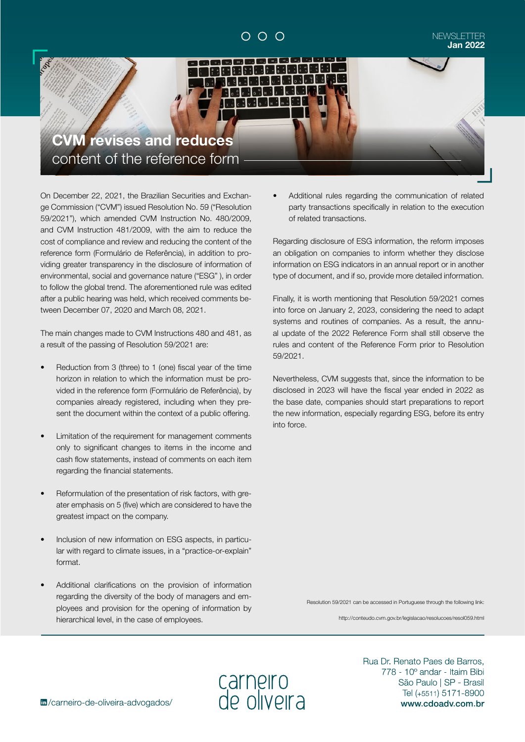# $\circ$   $\circ$   $\circ$

#### NEWSLETTER **Jan 2022**



On December 22, 2021, the Brazilian Securities and Exchange Commission ("CVM") issued Resolution No. 59 ("Resolution 59/2021"), which amended CVM Instruction No. 480/2009, and CVM Instruction 481/2009, with the aim to reduce the cost of compliance and review and reducing the content of the reference form (Formulário de Referência), in addition to providing greater transparency in the disclosure of information of environmental, social and governance nature ("ESG" ), in order to follow the global trend. The aforementioned rule was edited after a public hearing was held, which received comments between December 07, 2020 and March 08, 2021.

The main changes made to CVM Instructions 480 and 481, as a result of the passing of Resolution 59/2021 are:

- Reduction from 3 (three) to 1 (one) fiscal year of the time horizon in relation to which the information must be provided in the reference form (Formulário de Referência), by companies already registered, including when they present the document within the context of a public offering.
- Limitation of the requirement for management comments only to significant changes to items in the income and cash flow statements, instead of comments on each item regarding the financial statements.
- Reformulation of the presentation of risk factors, with greater emphasis on 5 (five) which are considered to have the greatest impact on the company.
- Inclusion of new information on ESG aspects, in particular with regard to climate issues, in a "practice-or-explain" format.
- Additional clarifications on the provision of information regarding the diversity of the body of managers and employees and provision for the opening of information by hierarchical level, in the case of employees.

• Additional rules regarding the communication of related party transactions specifically in relation to the execution of related transactions.

Regarding disclosure of ESG information, the reform imposes an obligation on companies to inform whether they disclose information on ESG indicators in an annual report or in another type of document, and if so, provide more detailed information.

Finally, it is worth mentioning that Resolution 59/2021 comes into force on January 2, 2023, considering the need to adapt systems and routines of companies. As a result, the annual update of the 2022 Reference Form shall still observe the rules and content of the Reference Form prior to Resolution 59/2021.

Nevertheless, CVM suggests that, since the information to be disclosed in 2023 will have the fiscal year ended in 2022 as the base date, companies should start preparations to report the new information, especially regarding ESG, before its entry into force.

Resolution 59/2021 can be accessed in Portuguese through the following link:

http://conteudo.cvm.gov.br/legislacao/resolucoes/resol059.html

carneiro<br>de oliveira

Rua Dr. Renato Paes de Barros. 778 - 10° andar - Itaim Bibi São Paulo | SP - Brasil Tel (+5511) 5171-8900 www.cdoadv.com.br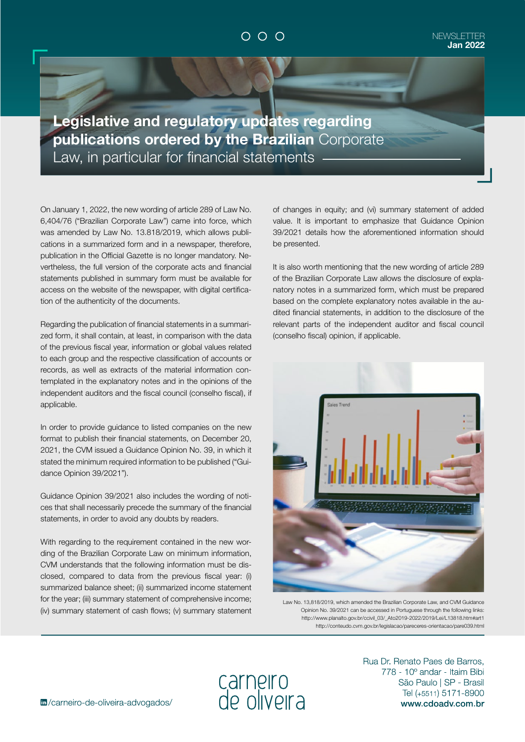## $O$   $O$   $O$

**Legislative and regulatory updates regarding publications ordered by the Brazilian** Corporate Law, in particular for financial statements

On January 1, 2022, the new wording of article 289 of Law No. 6,404/76 ("Brazilian Corporate Law") came into force, which was amended by Law No. 13.818/2019, which allows publications in a summarized form and in a newspaper, therefore, publication in the Official Gazette is no longer mandatory. Nevertheless, the full version of the corporate acts and financial statements published in summary form must be available for access on the website of the newspaper, with digital certification of the authenticity of the documents.

Regarding the publication of financial statements in a summarized form, it shall contain, at least, in comparison with the data of the previous fiscal year, information or global values related to each group and the respective classification of accounts or records, as well as extracts of the material information contemplated in the explanatory notes and in the opinions of the independent auditors and the fiscal council (conselho fiscal), if applicable.

In order to provide guidance to listed companies on the new format to publish their financial statements, on December 20, 2021, the CVM issued a Guidance Opinion No. 39, in which it stated the minimum required information to be published ("Guidance Opinion 39/2021").

Guidance Opinion 39/2021 also includes the wording of notices that shall necessarily precede the summary of the financial statements, in order to avoid any doubts by readers.

With regarding to the requirement contained in the new wording of the Brazilian Corporate Law on minimum information, CVM understands that the following information must be disclosed, compared to data from the previous fiscal year: (i) summarized balance sheet; (ii) summarized income statement for the year; (iii) summary statement of comprehensive income; (iv) summary statement of cash flows; (v) summary statement of changes in equity; and (vi) summary statement of added value. It is important to emphasize that Guidance Opinion 39/2021 details how the aforementioned information should be presented.

It is also worth mentioning that the new wording of article 289 of the Brazilian Corporate Law allows the disclosure of explanatory notes in a summarized form, which must be prepared based on the complete explanatory notes available in the audited financial statements, in addition to the disclosure of the relevant parts of the independent auditor and fiscal council (conselho fiscal) opinion, if applicable.



Law No. 13,818/2019, which amended the Brazilian Corporate Law, and CVM Guidance Opinion No. 39/2021 can be accessed in Portuguese through the following links: http://www.planalto.gov.br/ccivil\_03/\_Ato2019-2022/2019/Lei/L13818.htm#art1 http://conteudo.cvm.gov.br/legislacao/pareceres-orientacao/pare039.html

carneiro<br>de oliveira

Rua Dr. Renato Paes de Barros. 778 - 10° andar - Itaim Bibi São Paulo | SP - Brasil Tel (+5511) 5171-8900 www.cdoadv.com.br